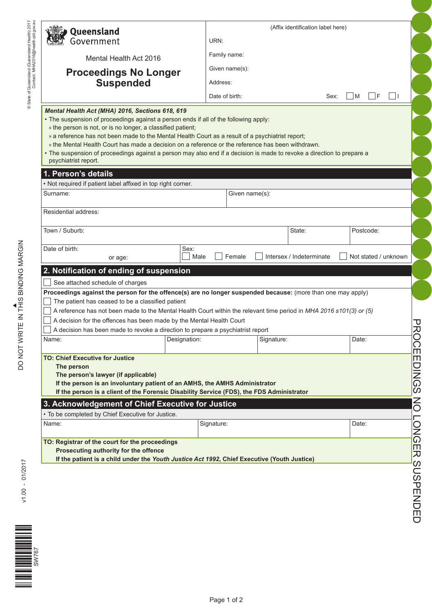| Queensland                                                                                                                                                                                                                                                                                                                                                                                                                                                                                                                                                        |                                                  |                        |                                                                                                                     | (Affix identification label here) |                                         |
|-------------------------------------------------------------------------------------------------------------------------------------------------------------------------------------------------------------------------------------------------------------------------------------------------------------------------------------------------------------------------------------------------------------------------------------------------------------------------------------------------------------------------------------------------------------------|--------------------------------------------------|------------------------|---------------------------------------------------------------------------------------------------------------------|-----------------------------------|-----------------------------------------|
| Government                                                                                                                                                                                                                                                                                                                                                                                                                                                                                                                                                        |                                                  | URN:                   |                                                                                                                     |                                   |                                         |
|                                                                                                                                                                                                                                                                                                                                                                                                                                                                                                                                                                   | Mental Health Act 2016                           | Family name:           |                                                                                                                     |                                   |                                         |
|                                                                                                                                                                                                                                                                                                                                                                                                                                                                                                                                                                   |                                                  | Given name(s):         |                                                                                                                     |                                   |                                         |
|                                                                                                                                                                                                                                                                                                                                                                                                                                                                                                                                                                   | <b>Proceedings No Longer</b><br><b>Suspended</b> | Address:               |                                                                                                                     |                                   |                                         |
|                                                                                                                                                                                                                                                                                                                                                                                                                                                                                                                                                                   |                                                  | Date of birth:         |                                                                                                                     | Sex:                              | $\vert \vert$ F<br>$\mathsf{M}$<br>l 11 |
|                                                                                                                                                                                                                                                                                                                                                                                                                                                                                                                                                                   |                                                  |                        |                                                                                                                     |                                   |                                         |
| Mental Health Act (MHA) 2016, Sections 618, 619<br>. The suspension of proceedings against a person ends if all of the following apply:<br>» the person is not, or is no longer, a classified patient;<br>» a reference has not been made to the Mental Health Court as a result of a psychiatrist report;<br>» the Mental Health Court has made a decision on a reference or the reference has been withdrawn.<br>· The suspension of proceedings against a person may also end if a decision is made to revoke a direction to prepare a<br>psychiatrist report. |                                                  |                        |                                                                                                                     |                                   |                                         |
| 1. Person's details<br>• Not required if patient label affixed in top right corner.                                                                                                                                                                                                                                                                                                                                                                                                                                                                               |                                                  |                        |                                                                                                                     |                                   |                                         |
| Surname:                                                                                                                                                                                                                                                                                                                                                                                                                                                                                                                                                          |                                                  |                        | Given name(s):                                                                                                      |                                   |                                         |
|                                                                                                                                                                                                                                                                                                                                                                                                                                                                                                                                                                   |                                                  |                        |                                                                                                                     |                                   |                                         |
| Residential address:                                                                                                                                                                                                                                                                                                                                                                                                                                                                                                                                              |                                                  |                        |                                                                                                                     |                                   |                                         |
| Town / Suburb:                                                                                                                                                                                                                                                                                                                                                                                                                                                                                                                                                    |                                                  |                        | State:                                                                                                              |                                   | Postcode:                               |
|                                                                                                                                                                                                                                                                                                                                                                                                                                                                                                                                                                   |                                                  |                        |                                                                                                                     |                                   |                                         |
| Date of birth:<br>or age:                                                                                                                                                                                                                                                                                                                                                                                                                                                                                                                                         |                                                  | Sex:<br>Female<br>Male | Intersex / Indeterminate                                                                                            |                                   | Not stated / unknown                    |
|                                                                                                                                                                                                                                                                                                                                                                                                                                                                                                                                                                   |                                                  |                        |                                                                                                                     |                                   |                                         |
| 2. Notification of ending of suspension                                                                                                                                                                                                                                                                                                                                                                                                                                                                                                                           |                                                  |                        |                                                                                                                     |                                   |                                         |
| See attached schedule of charges<br>Proceedings against the person for the offence(s) are no longer suspended because: (more than one may apply)                                                                                                                                                                                                                                                                                                                                                                                                                  |                                                  |                        |                                                                                                                     |                                   |                                         |
| The patient has ceased to be a classified patient                                                                                                                                                                                                                                                                                                                                                                                                                                                                                                                 |                                                  |                        |                                                                                                                     |                                   |                                         |
|                                                                                                                                                                                                                                                                                                                                                                                                                                                                                                                                                                   |                                                  |                        |                                                                                                                     |                                   |                                         |
|                                                                                                                                                                                                                                                                                                                                                                                                                                                                                                                                                                   |                                                  |                        | A reference has not been made to the Mental Health Court within the relevant time period in MHA 2016 s101(3) or (5) |                                   |                                         |
| A decision for the offences has been made by the Mental Health Court                                                                                                                                                                                                                                                                                                                                                                                                                                                                                              |                                                  |                        |                                                                                                                     |                                   |                                         |
| A decision has been made to revoke a direction to prepare a psychiatrist report                                                                                                                                                                                                                                                                                                                                                                                                                                                                                   |                                                  |                        |                                                                                                                     |                                   |                                         |
| Name:                                                                                                                                                                                                                                                                                                                                                                                                                                                                                                                                                             |                                                  | Designation:           | Signature:                                                                                                          |                                   | Date:                                   |
|                                                                                                                                                                                                                                                                                                                                                                                                                                                                                                                                                                   |                                                  |                        |                                                                                                                     |                                   |                                         |
|                                                                                                                                                                                                                                                                                                                                                                                                                                                                                                                                                                   |                                                  |                        |                                                                                                                     |                                   |                                         |
| The person                                                                                                                                                                                                                                                                                                                                                                                                                                                                                                                                                        |                                                  |                        |                                                                                                                     |                                   |                                         |
| The person's lawyer (if applicable)<br>If the person is an involuntary patient of an AMHS, the AMHS Administrator                                                                                                                                                                                                                                                                                                                                                                                                                                                 |                                                  |                        |                                                                                                                     |                                   |                                         |
|                                                                                                                                                                                                                                                                                                                                                                                                                                                                                                                                                                   |                                                  |                        | If the person is a client of the Forensic Disability Service (FDS), the FDS Administrator                           |                                   |                                         |
| <b>TO: Chief Executive for Justice</b>                                                                                                                                                                                                                                                                                                                                                                                                                                                                                                                            |                                                  |                        |                                                                                                                     |                                   |                                         |
|                                                                                                                                                                                                                                                                                                                                                                                                                                                                                                                                                                   |                                                  |                        |                                                                                                                     |                                   |                                         |
| 3. Acknowledgement of Chief Executive for Justice<br>• To be completed by Chief Executive for Justice.<br>Name:                                                                                                                                                                                                                                                                                                                                                                                                                                                   |                                                  | Signature:             |                                                                                                                     |                                   | Date:                                   |
|                                                                                                                                                                                                                                                                                                                                                                                                                                                                                                                                                                   |                                                  |                        |                                                                                                                     |                                   |                                         |
| TO: Registrar of the court for the proceedings                                                                                                                                                                                                                                                                                                                                                                                                                                                                                                                    |                                                  |                        |                                                                                                                     |                                   |                                         |
| Prosecuting authority for the offence                                                                                                                                                                                                                                                                                                                                                                                                                                                                                                                             |                                                  |                        |                                                                                                                     |                                   |                                         |
|                                                                                                                                                                                                                                                                                                                                                                                                                                                                                                                                                                   |                                                  |                        | If the patient is a child under the Youth Justice Act 1992, Chief Executive (Youth Justice)                         |                                   |                                         |
|                                                                                                                                                                                                                                                                                                                                                                                                                                                                                                                                                                   |                                                  |                        |                                                                                                                     |                                   |                                         |
|                                                                                                                                                                                                                                                                                                                                                                                                                                                                                                                                                                   |                                                  |                        |                                                                                                                     |                                   |                                         |
|                                                                                                                                                                                                                                                                                                                                                                                                                                                                                                                                                                   |                                                  |                        |                                                                                                                     |                                   |                                         |
|                                                                                                                                                                                                                                                                                                                                                                                                                                                                                                                                                                   |                                                  |                        |                                                                                                                     |                                   |                                         |
|                                                                                                                                                                                                                                                                                                                                                                                                                                                                                                                                                                   |                                                  |                        |                                                                                                                     |                                   |                                         |
|                                                                                                                                                                                                                                                                                                                                                                                                                                                                                                                                                                   |                                                  |                        |                                                                                                                     |                                   |                                         |